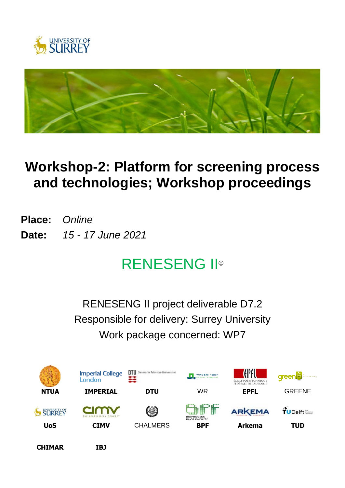



# **Workshop-2: Platform for screening process and technologies; Workshop proceedings**

**Place:** *Online* **Date:** *15 - 17 June 2021*

# RENESENG II©

RENESENG II project deliverable D7.2 Responsible for delivery: Surrey University Work package concerned: WP7



**CHIMAR IBJ**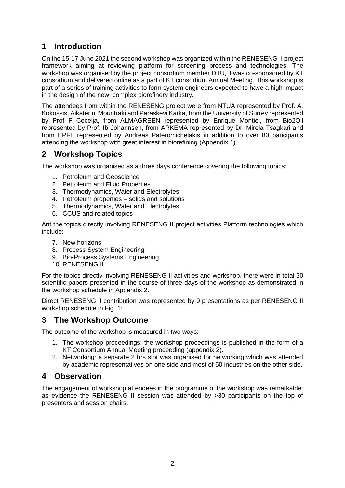# **1 Introduction**

On the 15-17 June 2021 the second workshop was organized within the RENESENG II project framework aiming at reviewing platform for screening process and technologies. The workshop was organised by the project consortium member DTU, it was co-sponsored by KT consortium and delivered online as a part of KT consortium Annual Meeting. This workshop is part of a series of training activities to form system engineers expected to have a high impact in the design of the new, complex biorefinery industry.

The attendees from within the RENESENG project were from NTUA represented by Prof. A. Kokossis, Aikaterini Mountraki and Paraskevi Karka, from the University of Surrey represented by Prof F Cecelja, from ALMAGREEN represented by Enrique Montiel, from Bio2Oil represented by Prof. Ib Johannsen, from ARKEMA represented by Dr. Mirela Tsagkari and from EPFL represented by Andreas Pateromichelakis in addition to over 80 paricipants attending the workshop with great interest in biorefining (Appendix 1).

## **2 Workshop Topics**

The workshop was organised as a three days conference covering the following topics:

- 1. Petroleum and Geoscience
- 2. Petroleum and Fluid Properties
- 3. Thermodynamics, Water and Electrolytes
- 4. Petroleum properties solids and solutions
- 5. Thermodynamics, Water and Electrolytes
- 6. CCUS and related topics

Ant the topics directly involving RENESENG II project activities Platform technologies which include:

- 7. New horizons
- 8. Process System Engineering
- 9. Bio-Process Systems Engineering
- 10. RENESENG II

For the topics directly involving RENESENG II activities and workshop, there were in total 30 scientific papers presented in the course of three days of the workshop as demonstrated in the workshop schedule in Appendix 2.

Direct RENESENG II contribution was represented by 9 presentations as per RENESENG II workshop schedule in Fig. 1:

#### **3 The Workshop Outcome**

The outcome of the workshop is measured in two ways:

- 1. The workshop proceedings: the workshop proceedings is published in the form of a KT Consortium Annual Meeting proceeding (appendix 2).
- 2. Networking: a separate 2 hrs slot was organised for networking which was attended by academic representatives on one side and most of 50 industries on the other side.

#### **4 Observation**

The engagement of workshop attendees in the programme of the workshop was remarkable: as evidence the RENESENG II session was attended by >30 participants on the top of presenters and session chairs..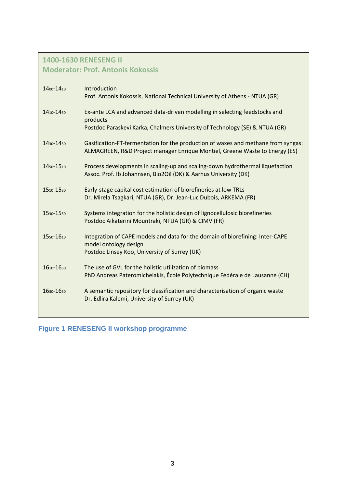# **1400-1630 RENESENG II**

# **Moderator: Prof. Antonis Kokossis**

| 1400-1410 | Introduction<br>Prof. Antonis Kokossis, National Technical University of Athens - NTUA (GR)                                                                           |
|-----------|-----------------------------------------------------------------------------------------------------------------------------------------------------------------------|
| 1410-1430 | Ex-ante LCA and advanced data-driven modelling in selecting feedstocks and<br>products<br>Postdoc Paraskevi Karka, Chalmers University of Technology (SE) & NTUA (GR) |
| 1430-1450 | Gasification-FT-fermentation for the production of waxes and methane from syngas:<br>ALMAGREEN, R&D Project manager Enrique Montiel, Greene Waste to Energy (ES)      |
| 1450-1510 | Process developments in scaling-up and scaling-down hydrothermal liquefaction<br>Assoc. Prof. Ib Johannsen, Bio2Oil (DK) & Aarhus University (DK)                     |
| 1510-1530 | Early-stage capital cost estimation of biorefineries at low TRLs<br>Dr. Mirela Tsagkari, NTUA (GR), Dr. Jean-Luc Dubois, ARKEMA (FR)                                  |
| 1530-1550 | Systems integration for the holistic design of lignocellulosic biorefineries<br>Postdoc Aikaterini Mountraki, NTUA (GR) & CIMV (FR)                                   |
| 1550-1610 | Integration of CAPE models and data for the domain of biorefining: Inter-CAPE<br>model ontology design<br>Postdoc Linsey Koo, University of Surrey (UK)               |
| 1610-1630 | The use of GVL for the holistic utilization of biomass<br>PhD Andreas Pateromichelakis, École Polytechnique Fédérale de Lausanne (CH)                                 |
| 1630-1650 | A semantic repository for classification and characterisation of organic waste<br>Dr. Edlira Kalemi, University of Surrey (UK)                                        |
|           |                                                                                                                                                                       |

**Figure 1 RENESENG II workshop programme**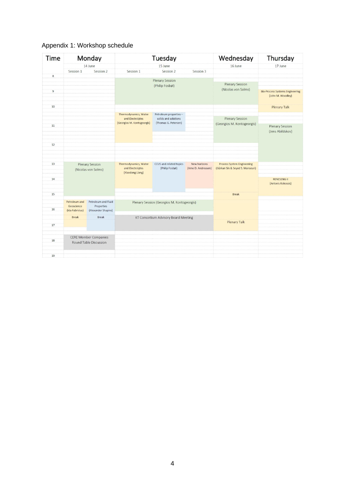| <b>Time</b>    |                                                        | Monday                                                                             | Tuesday<br>15 June                   |                         |                     | Wednesday<br>16 June              | Thursday<br>17 June                                         |
|----------------|--------------------------------------------------------|------------------------------------------------------------------------------------|--------------------------------------|-------------------------|---------------------|-----------------------------------|-------------------------------------------------------------|
|                |                                                        | 14 June                                                                            |                                      |                         |                     |                                   |                                                             |
|                | Session 1                                              | Session 2                                                                          | Session 1                            | Session 2               | Session 3           |                                   |                                                             |
| 8              |                                                        |                                                                                    |                                      |                         |                     |                                   |                                                             |
|                |                                                        |                                                                                    | <b>Plenary Session</b>               |                         |                     | <b>Plenary Session</b>            |                                                             |
|                |                                                        | (Philip Fosbøl)                                                                    |                                      |                         |                     | (Nicolas von Solms)               |                                                             |
| $\overline{9}$ |                                                        |                                                                                    |                                      |                         |                     |                                   | <b>Bio-Process Systems Engineering</b><br>(John M. Woodley) |
| 10             |                                                        |                                                                                    |                                      |                         |                     |                                   | <b>Plenary Talk</b>                                         |
|                |                                                        |                                                                                    | Thermodynamics, Water                | Petroleum properties -  |                     |                                   |                                                             |
|                |                                                        |                                                                                    | and Electrolytes                     | solids and solutions    |                     | <b>Plenary Session</b>            |                                                             |
| 11             |                                                        | (Georgios M. Kontogeorgis)                                                         |                                      | (Thomas G. Petersen)    |                     | (Georgios M. Kontogeorgis)        | <b>Plenary Session</b>                                      |
|                |                                                        |                                                                                    |                                      |                         |                     | (Jens Abildskov)                  |                                                             |
|                |                                                        |                                                                                    |                                      |                         |                     |                                   |                                                             |
| 12             |                                                        |                                                                                    |                                      |                         |                     |                                   |                                                             |
|                |                                                        |                                                                                    |                                      |                         |                     |                                   |                                                             |
|                |                                                        |                                                                                    |                                      |                         |                     |                                   |                                                             |
| 13             |                                                        | <b>Plenary Session</b>                                                             | Thermodynamics, Water                | CCUS and related topics | New horizons        | <b>Process System Engineering</b> |                                                             |
|                | (Nicolas von Solms)                                    |                                                                                    | and Electrolytes                     | (Philip Fosbøl)         | (Arne D. Andreasen) | (Gürkan Sin & Seyed S. Mansouri)  |                                                             |
|                |                                                        |                                                                                    | (Xiaodong Liang)                     |                         |                     |                                   |                                                             |
| 14             |                                                        |                                                                                    |                                      |                         |                     |                                   | <b>RENESENG II</b>                                          |
|                |                                                        |                                                                                    |                                      |                         |                     |                                   | (Antonis Kokossis)                                          |
| 15             |                                                        |                                                                                    |                                      |                         |                     | <b>Break</b>                      |                                                             |
|                |                                                        |                                                                                    |                                      |                         |                     |                                   |                                                             |
|                | Geoscience                                             | Petroleum and Fluid<br>Petroleum and<br>Plenary Session (Georgios M. Kontogeorgis) |                                      |                         |                     |                                   |                                                             |
| 16             | (Ida Fabricius)                                        | Properties<br>(Alexander Shapiro)                                                  |                                      |                         |                     |                                   |                                                             |
|                | <b>Break</b>                                           | <b>Break</b>                                                                       | KT Consortium Advisory Board Meeting |                         |                     |                                   |                                                             |
|                |                                                        |                                                                                    |                                      |                         |                     |                                   |                                                             |
| 17             |                                                        |                                                                                    |                                      |                         |                     | <b>Plenary Talk</b>               |                                                             |
|                |                                                        |                                                                                    |                                      |                         |                     |                                   |                                                             |
|                | <b>CERE Member Companies</b><br>Round Table Discussion |                                                                                    |                                      |                         |                     |                                   |                                                             |
| 18             |                                                        |                                                                                    |                                      |                         |                     |                                   |                                                             |
|                |                                                        |                                                                                    |                                      |                         |                     |                                   |                                                             |
|                |                                                        |                                                                                    |                                      |                         |                     |                                   |                                                             |
| 19             |                                                        |                                                                                    |                                      |                         |                     |                                   |                                                             |

### Appendix 1: Workshop schedule